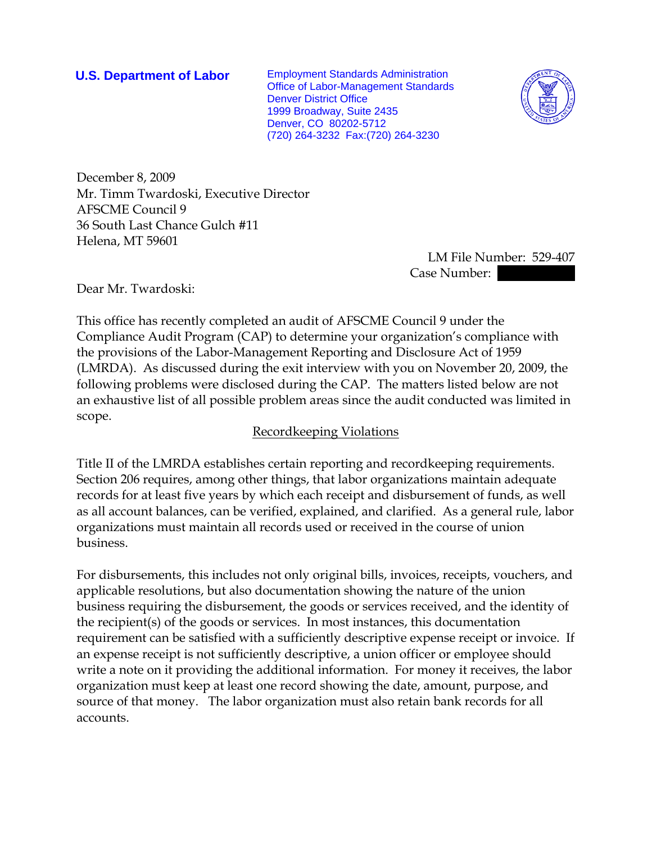**U.S. Department of Labor** Employment Standards Administration Office of Labor-Management Standards Denver District Office 1999 Broadway, Suite 2435 Denver, CO 80202-5712 (720) 264-3232 Fax:(720) 264-3230



December 8, 2009 Mr. Timm Twardoski, Executive Director AFSCME Council 9 36 South Last Chance Gulch #11 Helena, MT 59601

 LM File Number: 529-407 Case Number:

Dear Mr. Twardoski:

This office has recently completed an audit of AFSCME Council 9 under the Compliance Audit Program (CAP) to determine your organization's compliance with the provisions of the Labor-Management Reporting and Disclosure Act of 1959 (LMRDA). As discussed during the exit interview with you on November 20, 2009, the following problems were disclosed during the CAP. The matters listed below are not an exhaustive list of all possible problem areas since the audit conducted was limited in scope.

## Recordkeeping Violations

Title II of the LMRDA establishes certain reporting and recordkeeping requirements. Section 206 requires, among other things, that labor organizations maintain adequate records for at least five years by which each receipt and disbursement of funds, as well as all account balances, can be verified, explained, and clarified. As a general rule, labor organizations must maintain all records used or received in the course of union business.

For disbursements, this includes not only original bills, invoices, receipts, vouchers, and applicable resolutions, but also documentation showing the nature of the union business requiring the disbursement, the goods or services received, and the identity of the recipient(s) of the goods or services. In most instances, this documentation requirement can be satisfied with a sufficiently descriptive expense receipt or invoice. If an expense receipt is not sufficiently descriptive, a union officer or employee should write a note on it providing the additional information. For money it receives, the labor organization must keep at least one record showing the date, amount, purpose, and source of that money. The labor organization must also retain bank records for all accounts.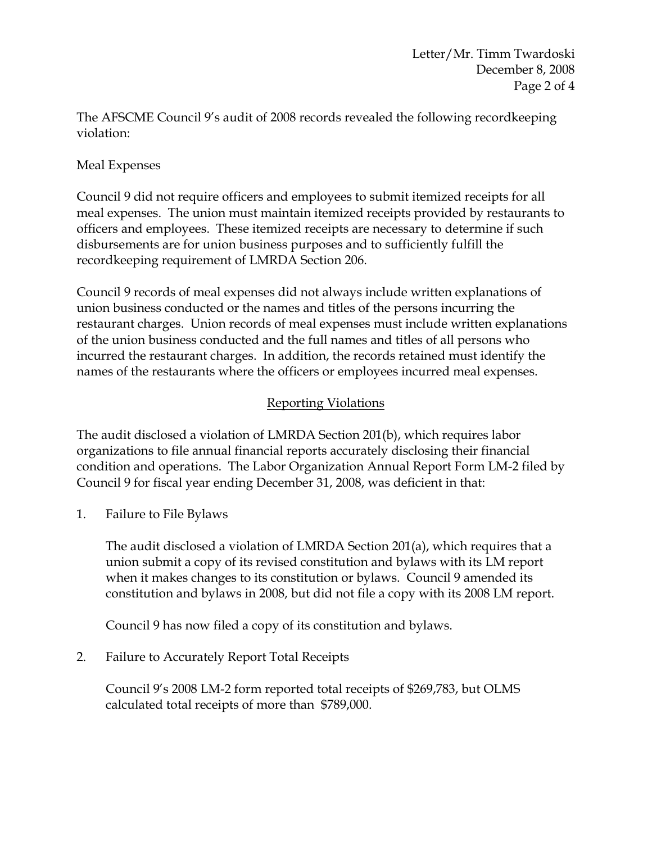The AFSCME Council 9's audit of 2008 records revealed the following recordkeeping violation:

## Meal Expenses

Council 9 did not require officers and employees to submit itemized receipts for all meal expenses. The union must maintain itemized receipts provided by restaurants to officers and employees. These itemized receipts are necessary to determine if such disbursements are for union business purposes and to sufficiently fulfill the recordkeeping requirement of LMRDA Section 206.

Council 9 records of meal expenses did not always include written explanations of union business conducted or the names and titles of the persons incurring the restaurant charges. Union records of meal expenses must include written explanations of the union business conducted and the full names and titles of all persons who incurred the restaurant charges. In addition, the records retained must identify the names of the restaurants where the officers or employees incurred meal expenses.

# Reporting Violations

The audit disclosed a violation of LMRDA Section 201(b), which requires labor organizations to file annual financial reports accurately disclosing their financial condition and operations. The Labor Organization Annual Report Form LM-2 filed by Council 9 for fiscal year ending December 31, 2008, was deficient in that:

1. Failure to File Bylaws

The audit disclosed a violation of LMRDA Section 201(a), which requires that a union submit a copy of its revised constitution and bylaws with its LM report when it makes changes to its constitution or bylaws. Council 9 amended its constitution and bylaws in 2008, but did not file a copy with its 2008 LM report.

Council 9 has now filed a copy of its constitution and bylaws.

2. Failure to Accurately Report Total Receipts

Council 9's 2008 LM-2 form reported total receipts of \$269,783, but OLMS calculated total receipts of more than \$789,000.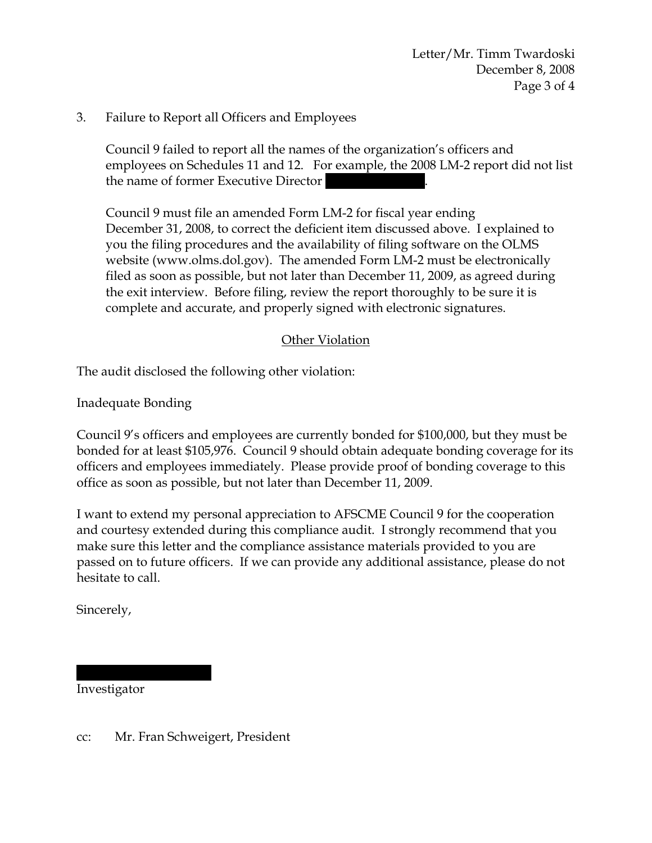Letter/Mr. Timm Twardoski December 8, 2008 Page 3 of 4

## 3. Failure to Report all Officers and Employees

Council 9 failed to report all the names of the organization's officers and employees on Schedules 11 and 12. For example, the 2008 LM-2 report did not list the name of former Executive Director

Council 9 must file an amended Form LM-2 for fiscal year ending December 31, 2008, to correct the deficient item discussed above. I explained to you the filing procedures and the availability of filing software on the OLMS website (www.olms.dol.gov). The amended Form LM-2 must be electronically filed as soon as possible, but not later than December 11, 2009, as agreed during the exit interview. Before filing, review the report thoroughly to be sure it is complete and accurate, and properly signed with electronic signatures.

### Other Violation

The audit disclosed the following other violation:

Inadequate Bonding

Council 9's officers and employees are currently bonded for \$100,000, but they must be bonded for at least \$105,976. Council 9 should obtain adequate bonding coverage for its officers and employees immediately. Please provide proof of bonding coverage to this office as soon as possible, but not later than December 11, 2009.

I want to extend my personal appreciation to AFSCME Council 9 for the cooperation and courtesy extended during this compliance audit. I strongly recommend that you make sure this letter and the compliance assistance materials provided to you are passed on to future officers. If we can provide any additional assistance, please do not hesitate to call.

Sincerely,

Investigator

||||| ||||||||||||

cc: Mr. Fran Schweigert, President